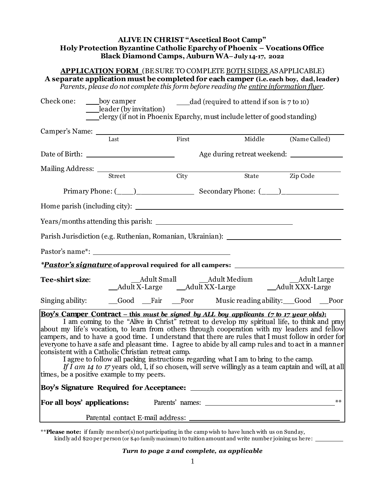## **ALIVE IN CHRIST "Ascetical Boot Camp" Holy Protection Byzantine Catholic Eparchy of Phoenix – Vocations Office Black Diamond Camps, Auburn WA– July 14-17, 2022**

## **APPLICATION FORM** (BE SURE TO COMPLETE BOTH SIDES ASAPPLICABLE) **A separate application must be completed for each camper (i.e. each boy, dad,leader)** *Parents, please do not complete this form before reading the <u>entire information flyer</u>.*

| Check one:             | ____boy camper<br>$\frac{[e^{i\alpha}]_i}{[e^{i\alpha}]}$                                       |             | dad (required to attend if son is 7 to 10)<br>___clergy (if not in Phoenix Eparchy, must include letter of good standing)                                                                                                                                                                                                                                                                                                                                                                                                                                                                                                                                                                              |               |
|------------------------|-------------------------------------------------------------------------------------------------|-------------|--------------------------------------------------------------------------------------------------------------------------------------------------------------------------------------------------------------------------------------------------------------------------------------------------------------------------------------------------------------------------------------------------------------------------------------------------------------------------------------------------------------------------------------------------------------------------------------------------------------------------------------------------------------------------------------------------------|---------------|
|                        | Last                                                                                            | First       | Middle                                                                                                                                                                                                                                                                                                                                                                                                                                                                                                                                                                                                                                                                                                 | (Name Called) |
|                        |                                                                                                 |             | Age during retreat weekend:                                                                                                                                                                                                                                                                                                                                                                                                                                                                                                                                                                                                                                                                            |               |
|                        |                                                                                                 | <b>City</b> | State Zip Code                                                                                                                                                                                                                                                                                                                                                                                                                                                                                                                                                                                                                                                                                         |               |
|                        |                                                                                                 |             |                                                                                                                                                                                                                                                                                                                                                                                                                                                                                                                                                                                                                                                                                                        |               |
|                        |                                                                                                 |             |                                                                                                                                                                                                                                                                                                                                                                                                                                                                                                                                                                                                                                                                                                        |               |
|                        |                                                                                                 |             |                                                                                                                                                                                                                                                                                                                                                                                                                                                                                                                                                                                                                                                                                                        |               |
|                        |                                                                                                 |             |                                                                                                                                                                                                                                                                                                                                                                                                                                                                                                                                                                                                                                                                                                        |               |
|                        |                                                                                                 |             |                                                                                                                                                                                                                                                                                                                                                                                                                                                                                                                                                                                                                                                                                                        |               |
|                        |                                                                                                 |             | <i>*Pastor's signature</i> of approval required for all campers: ______________________                                                                                                                                                                                                                                                                                                                                                                                                                                                                                                                                                                                                                |               |
| <b>Tee-shirt size:</b> |                                                                                                 |             |                                                                                                                                                                                                                                                                                                                                                                                                                                                                                                                                                                                                                                                                                                        |               |
|                        |                                                                                                 |             | Singing ability: _______Good _____Fair _____Poor Music reading ability: _____Good _____Poor                                                                                                                                                                                                                                                                                                                                                                                                                                                                                                                                                                                                            |               |
|                        | consistent with a Catholic Christian retreat camp.<br>times, be a positive example to my peers. |             | Boy's Camper Contract – this must be signed by ALL boy applicants (7 to 17 year olds):<br>I am coming to the "Alive in Christ" retreat to develop my spiritual life, to think and pray<br>about my life's vocation, to learn from others through cooperation with my leaders and fellow<br>campers, and to have a good time. I understand that there are rules that I must follow in order for<br>everyone to have a safe and pleasant time. I agree to abide by all camp rules and to act in a manner<br>I agree to follow all packing instructions regarding what I am to bring to the camp.<br>If I am 14 to 17 years old, I, if so chosen, will serve willingly as a team captain and will, at all |               |
|                        |                                                                                                 |             |                                                                                                                                                                                                                                                                                                                                                                                                                                                                                                                                                                                                                                                                                                        |               |
|                        |                                                                                                 |             |                                                                                                                                                                                                                                                                                                                                                                                                                                                                                                                                                                                                                                                                                                        | $**$          |
|                        | Parental contact E-mail address:                                                                |             |                                                                                                                                                                                                                                                                                                                                                                                                                                                                                                                                                                                                                                                                                                        |               |

\*\***Please note:** if family member(s) not participating in the camp wish to have lunch with us on Sunday, kindly add \$20 per person (or \$40 family maximum) to tuition amount and write number joining us here:

## *Turn to page 2 and complete, as applicable*